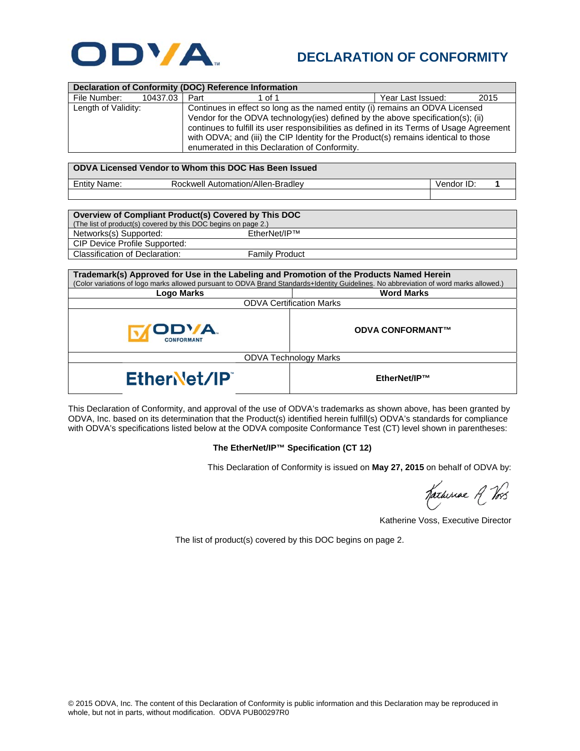

## **DECLARATION OF CONFORMITY**

| <b>Declaration of Conformity (DOC) Reference Information</b>                                                                                                                                                                                                                |                                                                                                                                                                                                                                                                                                                                                                                                      |                         |                   |            |      |  |
|-----------------------------------------------------------------------------------------------------------------------------------------------------------------------------------------------------------------------------------------------------------------------------|------------------------------------------------------------------------------------------------------------------------------------------------------------------------------------------------------------------------------------------------------------------------------------------------------------------------------------------------------------------------------------------------------|-------------------------|-------------------|------------|------|--|
| File Number:<br>10437.03                                                                                                                                                                                                                                                    | Part<br>1 of 1                                                                                                                                                                                                                                                                                                                                                                                       |                         | Year Last Issued: |            | 2015 |  |
| Length of Validity:                                                                                                                                                                                                                                                         | Continues in effect so long as the named entity (i) remains an ODVA Licensed<br>Vendor for the ODVA technology(ies) defined by the above specification(s); (ii)<br>continues to fulfill its user responsibilities as defined in its Terms of Usage Agreement<br>with ODVA; and (iii) the CIP Identity for the Product(s) remains identical to those<br>enumerated in this Declaration of Conformity. |                         |                   |            |      |  |
| ODVA Licensed Vendor to Whom this DOC Has Been Issued                                                                                                                                                                                                                       |                                                                                                                                                                                                                                                                                                                                                                                                      |                         |                   |            |      |  |
| <b>Entity Name:</b>                                                                                                                                                                                                                                                         | Rockwell Automation/Allen-Bradley                                                                                                                                                                                                                                                                                                                                                                    |                         |                   | Vendor ID: | 1    |  |
|                                                                                                                                                                                                                                                                             |                                                                                                                                                                                                                                                                                                                                                                                                      |                         |                   |            |      |  |
| Overview of Compliant Product(s) Covered by This DOC<br>(The list of product(s) covered by this DOC begins on page 2.)<br>EtherNet/IP™<br>Networks(s) Supported:<br>CIP Device Profile Supported:                                                                           |                                                                                                                                                                                                                                                                                                                                                                                                      |                         |                   |            |      |  |
| Classification of Declaration:<br><b>Family Product</b>                                                                                                                                                                                                                     |                                                                                                                                                                                                                                                                                                                                                                                                      |                         |                   |            |      |  |
| Trademark(s) Approved for Use in the Labeling and Promotion of the Products Named Herein<br>(Color variations of logo marks allowed pursuant to ODVA Brand Standards+Identity Guidelines. No abbreviation of word marks allowed.)<br><b>Logo Marks</b><br><b>Word Marks</b> |                                                                                                                                                                                                                                                                                                                                                                                                      |                         |                   |            |      |  |
| <b>ODVA Certification Marks</b>                                                                                                                                                                                                                                             |                                                                                                                                                                                                                                                                                                                                                                                                      |                         |                   |            |      |  |
| <b>ONFORMAN</b>                                                                                                                                                                                                                                                             |                                                                                                                                                                                                                                                                                                                                                                                                      | <b>ODVA CONFORMANT™</b> |                   |            |      |  |
| <b>ODVA Technology Marks</b>                                                                                                                                                                                                                                                |                                                                                                                                                                                                                                                                                                                                                                                                      |                         |                   |            |      |  |
| EtherNet/IP<br>EtherNet/IP™                                                                                                                                                                                                                                                 |                                                                                                                                                                                                                                                                                                                                                                                                      |                         |                   |            |      |  |

This Declaration of Conformity, and approval of the use of ODVA's trademarks as shown above, has been granted by ODVA, Inc. based on its determination that the Product(s) identified herein fulfill(s) ODVA's standards for compliance with ODVA's specifications listed below at the ODVA composite Conformance Test (CT) level shown in parentheses:

## **The EtherNet/IP™ Specification (CT 12)**

This Declaration of Conformity is issued on **May 27, 2015** on behalf of ODVA by:

Katheriae R Vos

Katherine Voss, Executive Director

The list of product(s) covered by this DOC begins on page 2.